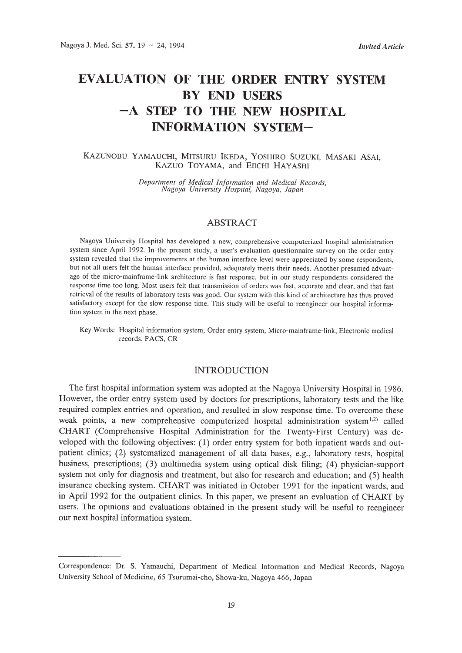# **EVALUATION OF THE ORDER ENTRY SYSTEM BY END USERS -A STEP TO THE NEW HOSPITAL INFORMATION SYSTEM-**

### KAZUNOBU YAMAUCHI, MITSURU IKEDA, YOSHIRO SUZUKI, MASAKI ASAI, KAzuO TOYAMA, and ElICHI HAYASHI

*Department of Medical Information and Medical Records, Nagoya University Hospital, Nagoya, Japan*

## ABSTRACT

Nagoya University Hospital has developed a new, comprehensive computerized hospital administration system since April 1992. In the present study, a user's evaluation questionnaire survey on the order entry system revealed that the improvements at the human interface level were appreciated by some respondents, but not all users felt the human interface provided, adequately meets their needs. Another presumed advantage of the micro-mainframe-link architecture is fast response, but in our study respondents considered the response time too long. Most users felt that transmission of orders was fast, accurate and clear, and that fast retrieval of the results of laboratory tests was good. Our system with this kind of architecture has thus proved satisfactory except for the slow response time. This study will be useful to reengineer our hospital information system in the next phase.

Key Words: Hospital information system, Order entry system, Micro-mainframe-link, Electronic medical records, PACS, CR

#### INTRODUCTION

The first hospital information system was adopted at the Nagoya University Hospital in 1986. However, the order entry system used by doctors for prescriptions, laboratory tests and the like required complex entries and operation, and resulted in slow response time. To overcome these weak points, a new comprehensive computerized hospital administration system<sup>1,2</sup>) called CHART (Comprehensive Hospital Administration for the Twenty-First Century) was developed with the following objectives: (1) order entry system for both inpatient wards and outpatient dinics; (2) systematized management of all data bases, e.g., laboratory tests, hospital business, prescriptions; (3) multimedia system using optical disk filing; (4) physician-support system not only for diagnosis and treatment, but also for research and education; and (5) health insurance checking system. CHART was initiated in October 1991 for the inpatient wards, and in April 1992 for the outpatient dinics. In this paper, we present an evaluation of CHART by users. The opinions and evaluations obtained in the present study will be useful to reengineer our next hospital information system.

Correspondence: Dr. S. Yamauchi, Department of Medical Information and Medical Records, Nagoya University School of Medicine, 65 Tsurumai-cho, Showa-ku, Nagoya 466, Japan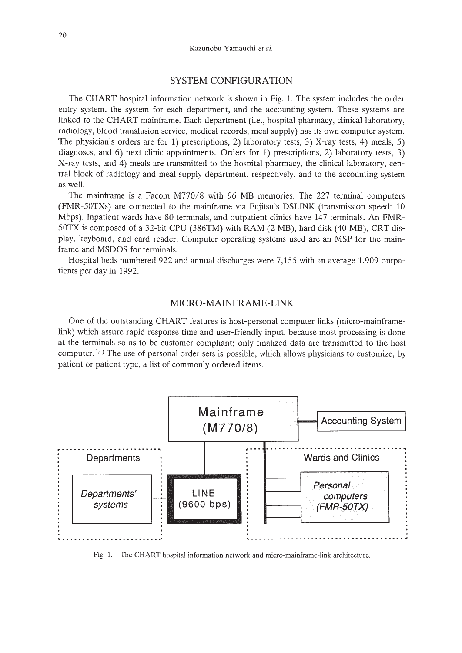#### SYSTEM CONFIGURATION

The CHART hospital information network is shown in Fig. 1. The system includes the order entry system, the system for each department, and the accounting system. These systems are linked to the CHART mainframe. Each department (i.e., hospital pharmacy, clinical laboratory, radiology, blood transfusion service, medical records, meal supply) has its own computer system. The physician's orders are for 1) prescriptions, 2) laboratory tests, 3) X-ray tests, 4) meals, 5) diagnoses, and 6) next clinic appointments. Orders for 1) prescriptions, 2) laboratory tests, 3) X-ray tests, and 4) meals are transmitted to the hospital pharmacy, the clinical laboratory, central block of radiology and meal supply department, respectively, and to the accounting system as well.

The mainframe is a Facom M770/8 with 96 MB memories. The 227 terminal computers (FMR-50TXs) are connected to the mainframe via Fujitsu's DSLINK (transmission speed: 10 Mbps). Inpatient wards have 80 terminals, and outpatient clinics have 147 terminals. An FMR-50TX is composed of a 32-bit CPU (386TM) with RAM (2 MB), hard disk (40 MB), CRT display, keyboard, and card reader. Computer operating systems used are an MSP for the mainframe and MSDOS for terminals.

Hospital beds numbered 922 and annual discharges were 7,155 with an average 1,909 outpatients per day in 1992.

## MICRO-MAINFRAME-LINK

One of the outstanding CHART features is host-personal computer links (micro-mainframelink) which assure rapid response time and user-friendly input, because most processing is done at the terminals so as to be customer-compliant; only finalized data are transmitted to the host computer.<sup>3,4)</sup> The use of personal order sets is possible, which allows physicians to customize, by patient or patient type, a list of commonly ordered items.



Fig. 1. The CHART hospital information network and micro-mainframe-link architecture.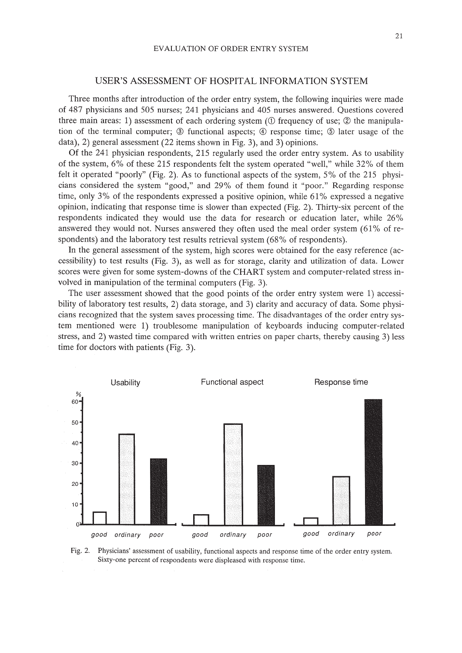#### USER'S ASSESSMENT OF HOSPITAL INFORMATION SYSTEM

Three months after introduction of the order entry system, the following inquiries were made of 487 physicians and 505 nurses; 241 physicians and 405 nurses answered. Questions covered three main areas: 1) assessment of each ordering system ( $\odot$  frequency of use;  $\oslash$  the manipulation of the terminal computer;  $\circled{3}$  functional aspects;  $\circled{4}$  response time;  $\circled{5}$  later usage of the data), 2) general assessment (22 items shown in Fig. 3), and 3) opinions.

Of the 241 physician respondents, 215 regularly used the order entry system. As to usability of the system, 6% of these 215 respondents felt the system operated "well," while 32% of them felt it operated "poorly" (Fig. 2). As to functional aspects of the system, 5% of the 215 physicians considered the system "good," and 29% of them found it "poor." Regarding response time, only 3% of the respondents expressed a positive opinion, while 61% expressed a negative opinion, indicating that response time is slower than expected (Fig. 2). Thirty-six percent of the respondents indicated they would use the data for research or education later, while 26% answered they would not. Nurses answered they often used the meal order system  $(61\% \text{ of } r)$ spondents) and the laboratory test results retrieval system (68% of respondents).

In the general assessment of the system, high scores were obtained for the easy reference (accessibility) to test results (Fig. 3), as well as for storage, clarity and utilization of data. Lower scores were given for some system-downs of the CHART system and computer-related stress involved in manipulation of the terminal computers (Fig. 3).

The user assessment showed that the good points of the order entry system were 1) accessibility of laboratory test results, 2) data storage, and 3) clarity and accuracy of data. Some physicians recognized that the system saves processing time. The disadvantages of the order entry system mentioned were 1) troublesome manipulation of keyboards inducing computer-related stress, and 2) wasted time compared with written entries on paper charts, thereby causing 3) less time for doctors with patients (Fig. 3).



Fig. 2. Physicians' assessment of usability, functional aspects and response time of the order entry system. Sixty-one percent of respondents were displeased with response time.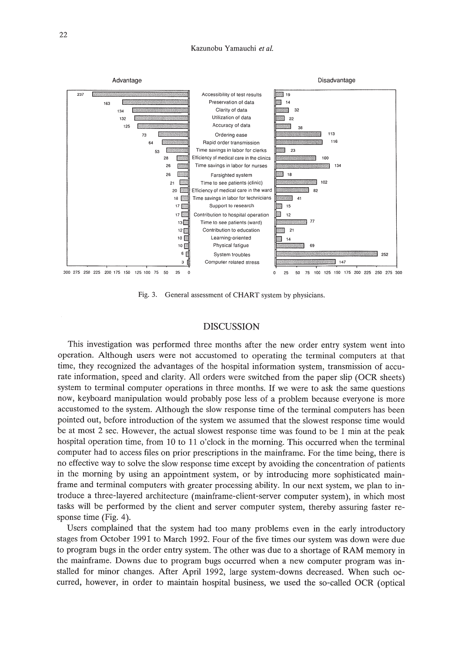

Fig. 3. General assessment of CHART system by physicians.

#### DISCUSSION

This investigation was performed three months after the new order entry system went into operation. Although users were not accustomed to operating the terminal computers at that time, they recognized the advantages of the hospital information system, transmission of accurate information, speed and clarity. All orders were switched from the paper slip (OCR sheets) system to terminal computer operations in three months. If we were to ask the same questions now, keyboard manipulation would probably pose less of a problem because everyone is more accustomed to the system. Although the slow response time of the terminal computers has been pointed out, before introduction of the system we assumed that the slowest response time would be at most 2 sec. However, the actual slowest response time was found to be 1 min at the peak hospital operation time, from 10 to 11 o'clock in the morning. This occurred when the terminal computer had to access files on prior prescriptions in the mainframe. For the time being, there is no effective way to solve the slow response time except by avoiding the concentration of patients in the morning by using an appointment system, or by introducing more sophisticated mainframe and terminal computers with greater processing ability. In our next system, we plan to introduce a three-layered architecture (mainframe-client-server computer system), in which most tasks will be performed by the client and server computer system, thereby assuring faster response time (Fig. 4).

Users complained that the system had too many problems even in the early introductory stages from October 1991 to March 1992. Four of the five times our system was down were due to program bugs in the order entry system. The other was due to a shortage of RAM memory in the mainframe. Downs due to program bugs occurred when a new computer program was installed for minor changes. After April 1992, large system-downs decreased. When such occurred, however, in order to maintain hospital business, we used the so-called OCR (optical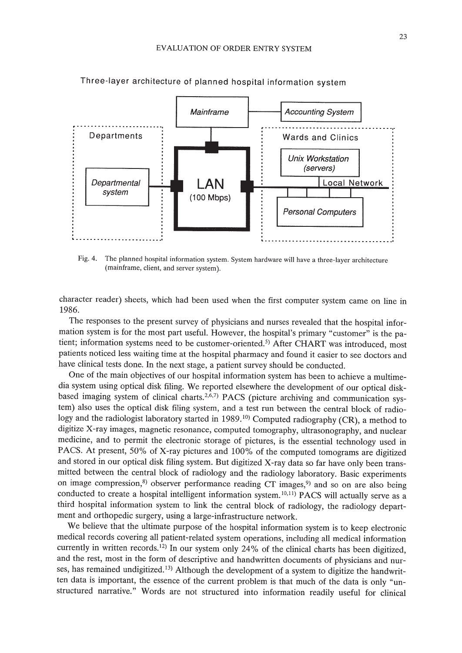

Three-layer architecture of planned hospital information system

Fig. 4. The planned hospital information system. System hardware will have a three-layer architecture (mainframe, client, and server system).

character reader) sheets, which had been used when the first computer system came on line in 1986.

The responses to the present survey of physicians and nurses revealed that the hospital information system is for the most part useful. However, the hospital's primary "customer" is the patient; information systems need to be customer-oriented.<sup>5)</sup> After CHART was introduced, most patients noticed less waiting time at the hospital pharmacy and found it easier to see doctors and have clinical tests done. In the next stage, a patient survey should be conducted.

One of the main objectives of our hospital information system has been to achieve a multimedia system using optical disk filing. We reported elsewhere the development of our optical diskbased imaging system of clinical charts.<sup>2,6,7)</sup> PACS (picture archiving and communication systern) also uses the optical disk filing system, and a test run between the central block of radiology and the radiologist laboratory started in 1989. 10) Computed radiography (CR), a method to digitize X-ray images, magnetic resonance, computed tomography, ultrasonography, and nuclear medicine, and to permit the electronic storage of pictures, is the essential technology used in PACS. At present, 50% of X-ray pictures and 100% of the computed tomograms are digitized and stored in our optical disk filing system. But digitized X-ray data so far have only been transmitted between the central block of radiology and the radiology laboratory. Basic experiments on image compression, $s$ ) observer performance reading CT images, $s$ <sup>9</sup>) and so on are also being conducted to create a hospital intelligent information system.<sup>10,11</sup>) PACS will actually serve as a third hospital information system to link the central block of radiology, the radiology department and orthopedic surgery, using a large-infrastructure network.

We believe that the ultimate purpose of the hospital information system is to keep electronic medical records covering all patient-related system operations, including all medical information currently in written records.<sup>12)</sup> In our system only 24% of the clinical charts has been digitized, and the rest, most in the form of descriptive and handwritten documents of physicians and nurses, has remained undigitized.<sup>13)</sup> Although the development of a system to digitize the handwritten data is important, the essence of the current problem is that much of the data is only "unstructured narrative." Words are not structured into information readily useful for clinical